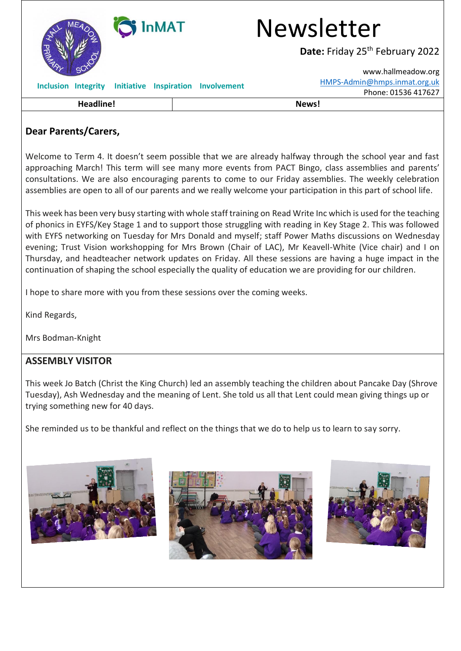| <b>InMAT</b>               |                                           | <b>Newsletter</b>                           |
|----------------------------|-------------------------------------------|---------------------------------------------|
|                            |                                           | Date: Friday 25 <sup>th</sup> February 2022 |
|                            |                                           | www.hallmeadow.org                          |
| <b>Inclusion Integrity</b> | <b>Initiative Inspiration Involvement</b> | HMPS-Admin@hmps.inmat.org.uk                |
|                            |                                           | Phone: 01536 417627                         |
| <b>Headline!</b>           |                                           | News!                                       |

## **Dear Parents/Carers,**

Welcome to Term 4. It doesn't seem possible that we are already halfway through the school year and fast approaching March! This term will see many more events from PACT Bingo, class assemblies and parents' consultations. We are also encouraging parents to come to our Friday assemblies. The weekly celebration assemblies are open to all of our parents and we really welcome your participation in this part of school life.

This week has been very busy starting with whole staff training on Read Write Inc which is used for the teaching of phonics in EYFS/Key Stage 1 and to support those struggling with reading in Key Stage 2. This was followed with EYFS networking on Tuesday for Mrs Donald and myself; staff Power Maths discussions on Wednesday evening; Trust Vision workshopping for Mrs Brown (Chair of LAC), Mr Keavell-White (Vice chair) and I on Thursday, and headteacher network updates on Friday. All these sessions are having a huge impact in the continuation of shaping the school especially the quality of education we are providing for our children.

I hope to share more with you from these sessions over the coming weeks.

Kind Regards,

Mrs Bodman-Knight

### **ASSEMBLY VISITOR**

This week Jo Batch (Christ the King Church) led an assembly teaching the children about Pancake Day (Shrove Tuesday), Ash Wednesday and the meaning of Lent. She told us all that Lent could mean giving things up or trying something new for 40 days.

She reminded us to be thankful and reflect on the things that we do to help us to learn to say sorry.





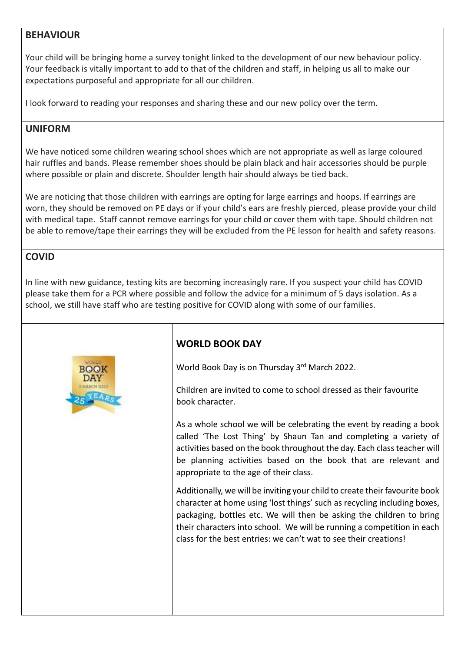#### **BEHAVIOUR**

Your child will be bringing home a survey tonight linked to the development of our new behaviour policy. Your feedback is vitally important to add to that of the children and staff, in helping us all to make our expectations purposeful and appropriate for all our children.

I look forward to reading your responses and sharing these and our new policy over the term.

#### **UNIFORM**

We have noticed some children wearing school shoes which are not appropriate as well as large coloured hair ruffles and bands. Please remember shoes should be plain black and hair accessories should be purple where possible or plain and discrete. Shoulder length hair should always be tied back.

We are noticing that those children with earrings are opting for large earrings and hoops. If earrings are worn, they should be removed on PE days or if your child's ears are freshly pierced, please provide your child with medical tape. Staff cannot remove earrings for your child or cover them with tape. Should children not be able to remove/tape their earrings they will be excluded from the PE lesson for health and safety reasons.

## **COVID**

In line with new guidance, testing kits are becoming increasingly rare. If you suspect your child has COVID please take them for a PCR where possible and follow the advice for a minimum of 5 days isolation. As a school, we still have staff who are testing positive for COVID along with some of our families.



# **WORLD BOOK DAY**

World Book Day is on Thursday 3rd March 2022.

Children are invited to come to school dressed as their favourite book character.

As a whole school we will be celebrating the event by reading a book called 'The Lost Thing' by Shaun Tan and completing a variety of activities based on the book throughout the day. Each class teacher will be planning activities based on the book that are relevant and appropriate to the age of their class.

Additionally, we will be inviting your child to create their favourite book character at home using 'lost things' such as recycling including boxes, packaging, bottles etc. We will then be asking the children to bring their characters into school. We will be running a competition in each class for the best entries: we can't wat to see their creations!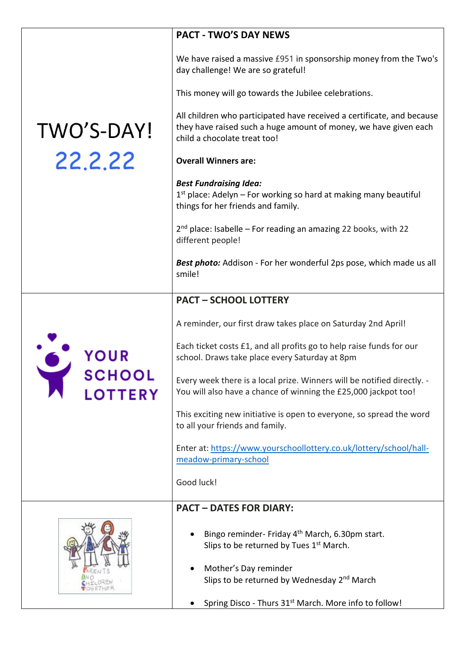|                                 | <b>PACT - TWO'S DAY NEWS</b>                                                                                                                                               |  |
|---------------------------------|----------------------------------------------------------------------------------------------------------------------------------------------------------------------------|--|
|                                 | We have raised a massive £951 in sponsorship money from the Two's<br>day challenge! We are so grateful!                                                                    |  |
|                                 | This money will go towards the Jubilee celebrations.                                                                                                                       |  |
| TWO'S-DAY!                      | All children who participated have received a certificate, and because<br>they have raised such a huge amount of money, we have given each<br>child a chocolate treat too! |  |
| 22,2,22                         | <b>Overall Winners are:</b>                                                                                                                                                |  |
|                                 | <b>Best Fundraising Idea:</b><br>1st place: Adelyn - For working so hard at making many beautiful<br>things for her friends and family.                                    |  |
|                                 | $2nd$ place: Isabelle – For reading an amazing 22 books, with 22<br>different people!                                                                                      |  |
|                                 | Best photo: Addison - For her wonderful 2ps pose, which made us all<br>smile!                                                                                              |  |
|                                 | <b>PACT - SCHOOL LOTTERY</b>                                                                                                                                               |  |
|                                 | A reminder, our first draw takes place on Saturday 2nd April!                                                                                                              |  |
| <b>SCHOOL</b><br><b>LOTTERY</b> | Each ticket costs £1, and all profits go to help raise funds for our<br>school. Draws take place every Saturday at 8pm                                                     |  |
|                                 | Every week there is a local prize. Winners will be notified directly. -<br>You will also have a chance of winning the £25,000 jackpot too!                                 |  |
|                                 | This exciting new initiative is open to everyone, so spread the word<br>to all your friends and family.                                                                    |  |
|                                 | Enter at: https://www.yourschoollottery.co.uk/lottery/school/hall-<br>meadow-primary-school                                                                                |  |
|                                 | Good luck!                                                                                                                                                                 |  |
|                                 | <b>PACT - DATES FOR DIARY:</b>                                                                                                                                             |  |
|                                 | Bingo reminder- Friday 4 <sup>th</sup> March, 6.30pm start.<br>Slips to be returned by Tues 1 <sup>st</sup> March.                                                         |  |
|                                 | Mother's Day reminder<br>Slips to be returned by Wednesday 2 <sup>nd</sup> March                                                                                           |  |
|                                 | Spring Disco - Thurs 31 <sup>st</sup> March. More info to follow!                                                                                                          |  |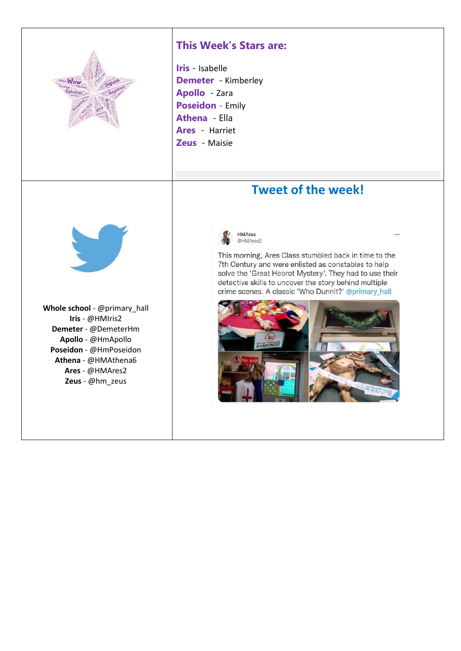